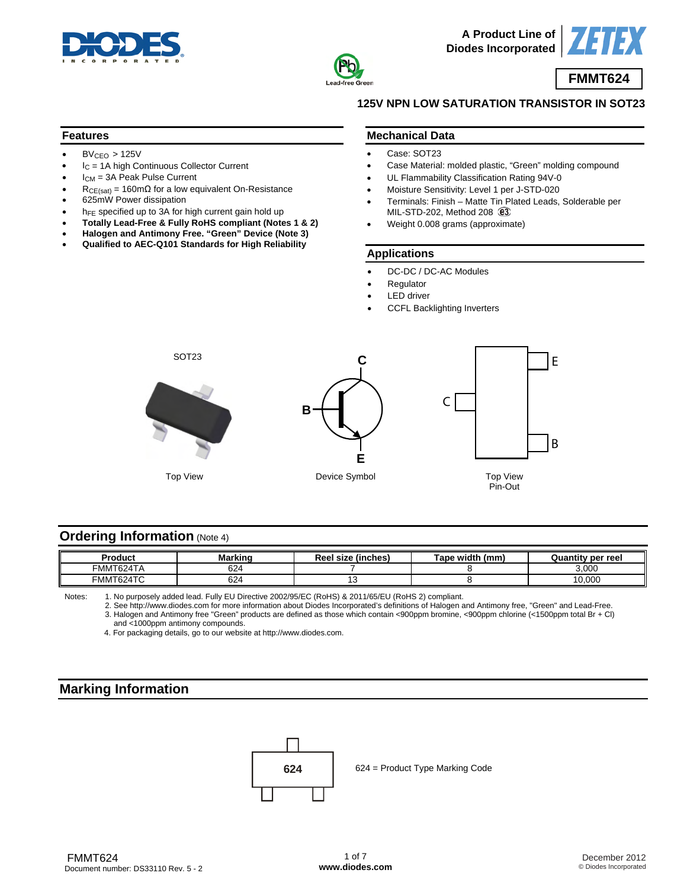



**A Product Line of Diodes Incorporated**



# **FMMT624**

### **125V NPN LOW SATURATION TRANSISTOR IN SOT23**

#### **Features**

- $\bullet$  BV<sub>CEO</sub> > 125V
- $I_C = 1A$  high Continuous Collector Current
- $I_{CM}$  = 3A Peak Pulse Current
- $R_{CE(sat)} = 160 \text{m}\Omega$  for a low equivalent On-Resistance
- 625mW Power dissipation
- h<sub>FE</sub> specified up to 3A for high current gain hold up
- **Totally Lead-Free & Fully RoHS compliant (Notes 1 & 2)**
- **Halogen and Antimony Free. "Green" Device (Note 3)**
- **Qualified to AEC-Q101 Standards for High Reliability**

#### **Mechanical Data**

- Case: SOT23
- Case Material: molded plastic, "Green" molding compound
- UL Flammability Classification Rating 94V-0
- Moisture Sensitivity: Level 1 per J-STD-020
- Terminals: Finish Matte Tin Plated Leads, Solderable per MIL-STD-202, Method 208 3
- Weight 0.008 grams (approximate)

#### **Applications**

- DC-DC / DC-AC Modules
- **Regulator**
- **LED** driver
- CCFL Backlighting Inverters



### **Ordering Information (Note 4)**

| Product                                        | <b>Marking</b> | Reel size (inches) | Tape width (mm) | <b>Quantity per reel</b> |
|------------------------------------------------|----------------|--------------------|-----------------|--------------------------|
| FMMT624TA                                      | rn.<br>∕∠د     |                    |                 | 3,000                    |
| $\sim$ $\sim$<br><b>FMMT6</b><br><b>1624TC</b> | $\sim$<br>ع∠د  | ~                  |                 | 10,000                   |

Notes: 1. No purposely added lead. Fully EU Directive 2002/95/EC (RoHS) & 2011/65/EU (RoHS 2) compliant.

 2. See [http://www.diodes.com fo](http://www.diodes.com)r more information about Diodes Incorporated's definitions of Halogen and Antimony free, "Green" and Lead-Free. 3. Halogen and Antimony free "Green" products are defined as those which contain <900ppm bromine, <900ppm chlorine (<1500ppm total Br + Cl) and <1000ppm antimony compounds.

4. For packaging details, go to our website at [http://www.diodes.com.](http://www.diodes.com) 

# **Marking Information**

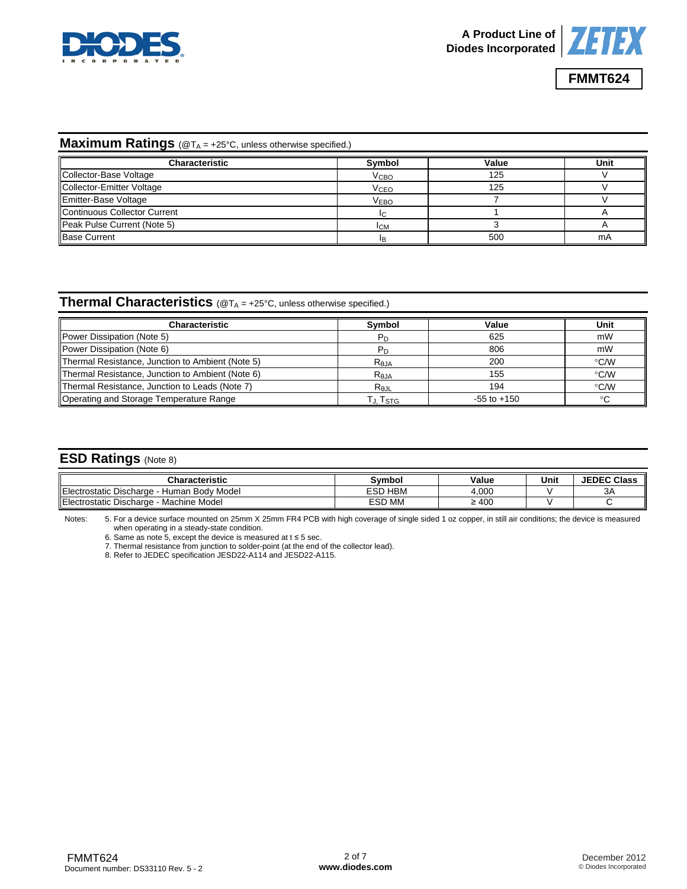



### **Maximum Ratings** (@T<sub>A</sub> = +25°C, unless otherwise specified.)

| <b>Characteristic</b>        | Symbol                  | Value | Unit |
|------------------------------|-------------------------|-------|------|
| Collector-Base Voltage       | <b>V</b> <sub>CВО</sub> | 125   |      |
| Collector-Emitter Voltage    | <b>V<sub>CEO</sub></b>  | 125   |      |
| Emitter-Base Voltage         | <b>VEBO</b>             |       |      |
| Continuous Collector Current | IC.                     |       |      |
| Peak Pulse Current (Note 5)  | <b>ICM</b>              |       |      |
| <b>Base Current</b>          |                         | 500   | mA   |

### **Thermal Characteristics** (@T<sub>A</sub> = +25°C, unless otherwise specified.)

| <b>Characteristic</b>                            | <b>Symbol</b>    | Value           | Unit          |
|--------------------------------------------------|------------------|-----------------|---------------|
| Power Dissipation (Note 5)                       | Рn               | 625             | mW            |
| Power Dissipation (Note 6)                       |                  | 806             | mW            |
| Thermal Resistance, Junction to Ambient (Note 5) | R <sub>0JA</sub> | 200             | °C/W          |
| Thermal Resistance, Junction to Ambient (Note 6) | $R_{0,IA}$       | 155             | °C/W          |
| Thermal Resistance, Junction to Leads (Note 7)   | RejL             | 194             | $\degree$ C/W |
| Operating and Storage Temperature Range          | Гл. Tsтg         | $-55$ to $+150$ | $\sim$        |

## **ESD Ratings** (Note 8)

| Characteristic                                            | Svmbol            | Value      | Unit | <b>JEDEC Class</b> |
|-----------------------------------------------------------|-------------------|------------|------|--------------------|
| Electr<br>Human Body Model<br>. Discharge<br>rostatic     | <b>HBM</b><br>ESD | 4.000      |      | ЗA                 |
| Electrostatic Discharge<br><b>Machine Model</b><br>$\sim$ | ESD MM            | $\geq 400$ |      |                    |

Notes: 5. For a device surface mounted on 25mm X 25mm FR4 PCB with high coverage of single sided 1 oz copper, in still air conditions; the device is measured when operating in a steady-state condition.

6. Same as note 5, except the device is measured at  $t ≤ 5$  sec.

7. Thermal resistance from junction to solder-point (at the end of the collector lead).

8. Refer to JEDEC specification JESD22-A114 and JESD22-A115.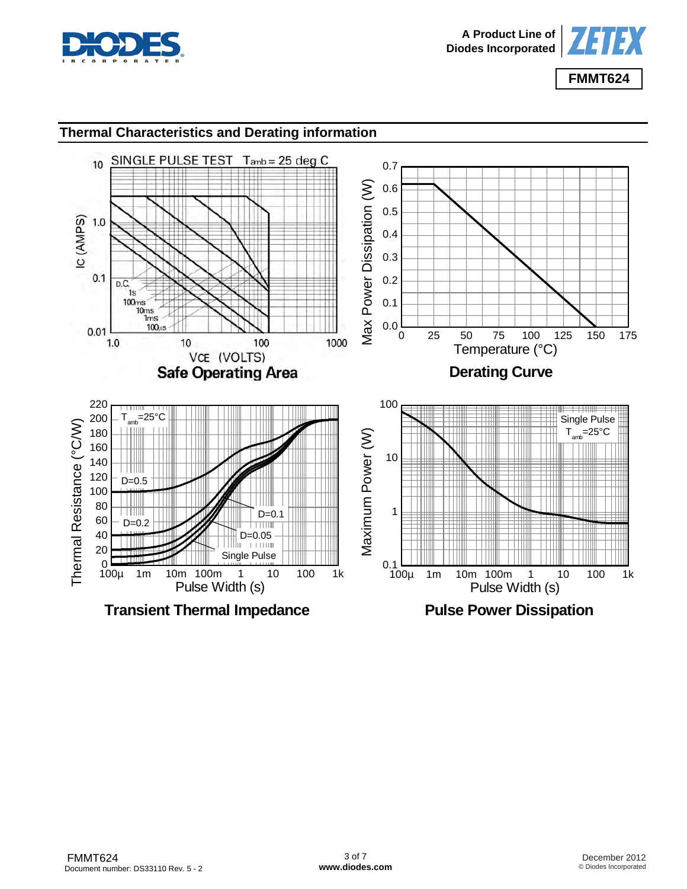



# **Thermal Characteristics and Derating information**

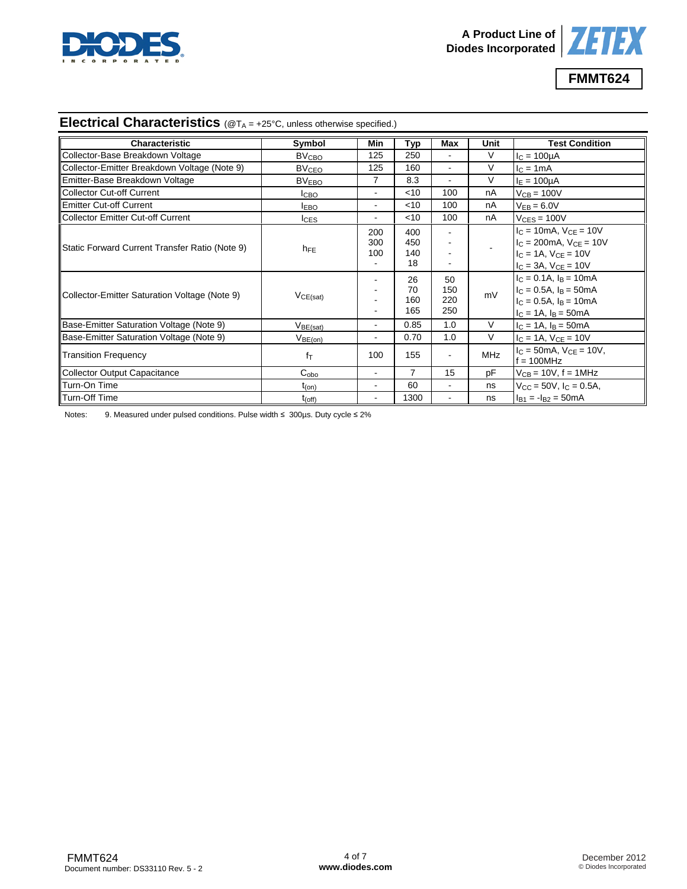



# **Electrical Characteristics** (@TA = +25°C, unless otherwise specified.)

| Characteristic                                 | Symbol                  | Min                          | Typ                     | Max                      | Unit       | <b>Test Condition</b>                                                                                                                 |
|------------------------------------------------|-------------------------|------------------------------|-------------------------|--------------------------|------------|---------------------------------------------------------------------------------------------------------------------------------------|
| Collector-Base Breakdown Voltage               | <b>BV<sub>CBO</sub></b> | 125                          | 250                     |                          | $\vee$     | $IC = 100µA$                                                                                                                          |
| Collector-Emitter Breakdown Voltage (Note 9)   | <b>BV<sub>CEO</sub></b> | 125                          | 160                     |                          | V          | $IC = 1mA$                                                                                                                            |
| Emitter-Base Breakdown Voltage                 | BV <sub>EBO</sub>       | 7                            | 8.3                     | $\blacksquare$           | V          | $IE = 100µA$                                                                                                                          |
| Collector Cut-off Current                      | I <sub>CBO</sub>        | ۰                            | $<$ 10                  | 100                      | nA         | $V_{CB} = 100V$                                                                                                                       |
| Emitter Cut-off Current                        | <b>IEBO</b>             | $\blacksquare$               | $<$ 10                  | 100                      | nA         | $V_{EB} = 6.0V$                                                                                                                       |
| Collector Emitter Cut-off Current              | $I_{CES}$               | $\qquad \qquad \blacksquare$ | $<$ 10                  | 100                      | nA         | $V_{CFS} = 100V$                                                                                                                      |
| Static Forward Current Transfer Ratio (Note 9) | $h_{FE}$                | 200<br>300<br>100            | 400<br>450<br>140<br>18 |                          |            | $I_C = 10mA$ , $V_{CE} = 10V$<br>$I_C = 200 \text{mA}$ , $V_{CE} = 10V$<br>$I_C = 1A$ , $V_{CF} = 10V$<br>$I_C = 3A$ , $V_{CE} = 10V$ |
| Collector-Emitter Saturation Voltage (Note 9)  | VCE(sat)                |                              | 26<br>70<br>160<br>165  | 50<br>150<br>220<br>250  | mV         | $I_C = 0.1A$ , $I_B = 10mA$<br>$IC = 0.5A$ , $IB = 50mA$<br>$I_C = 0.5A$ , $I_B = 10mA$<br>$I_C = 1A$ , $I_B = 50mA$                  |
| Base-Emitter Saturation Voltage (Note 9)       | V <sub>BE(sat)</sub>    | $\qquad \qquad \blacksquare$ | 0.85                    | 1.0                      | $\vee$     | $I_C = 1A$ , $I_B = 50mA$                                                                                                             |
| Base-Emitter Saturation Voltage (Note 9)       | $V_{BE(on)}$            | $\overline{\phantom{a}}$     | 0.70                    | 1.0                      | $\vee$     | $I_C = 1A$ , $V_{CE} = 10V$                                                                                                           |
| <b>Transition Frequency</b>                    | $f_T$                   | 100                          | 155                     | $\overline{\phantom{a}}$ | <b>MHz</b> | $IC = 50mA$ , $VCF = 10V$ ,<br>$f = 100 MHz$                                                                                          |
| Collector Output Capacitance                   | $C_{\text{obo}}$        | $\blacksquare$               | $\overline{7}$          | 15                       | pF         | $V_{CB}$ = 10V, f = 1MHz                                                                                                              |
| Turn-On Time                                   | $t_{(on)}$              | $\blacksquare$               | 60                      | $\blacksquare$           | ns         | $V_{CC}$ = 50V, $I_C$ = 0.5A,                                                                                                         |
| Turn-Off Time                                  | $t_{(off)}$             |                              | 1300                    |                          | ns         | $I_{B1} = -I_{B2} = 50mA$                                                                                                             |

Notes: 9. Measured under pulsed conditions. Pulse width ≤ 300µs. Duty cycle ≤ 2%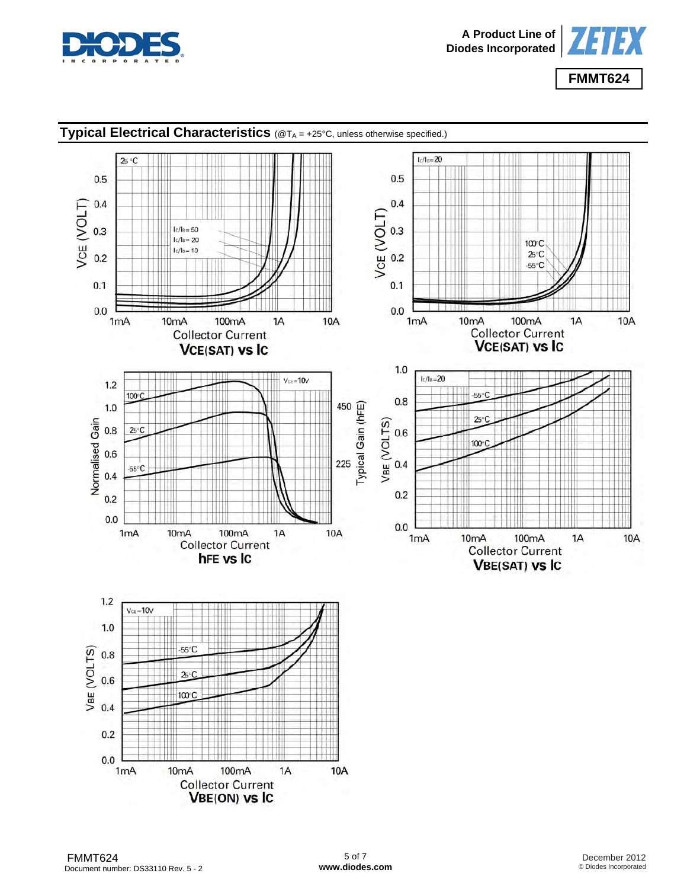



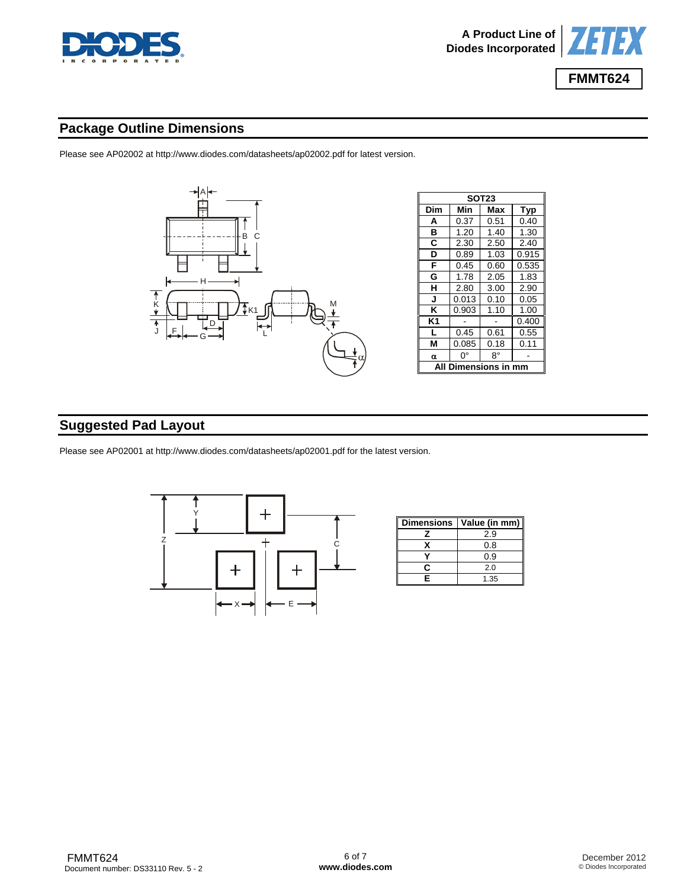



## **Package Outline Dimensions**

Please see AP02002 at [http://www.diodes.com/datasheets/ap02002.pdf fo](http://www.diodes.com/datasheets/ap02002.pdf)r latest version.



# **Suggested Pad Layout**

Please see AP02001 at [http://www.diodes.com/datasheets/ap02001.pdf fo](http://www.diodes.com/datasheets/ap02001.pdf)r the latest version.



| <b>Dimensions</b> | Value (in mm) |
|-------------------|---------------|
|                   | 2.9           |
|                   | 0.8           |
|                   | 0.9           |
| r                 | 2.0           |
| F                 | 1.35          |